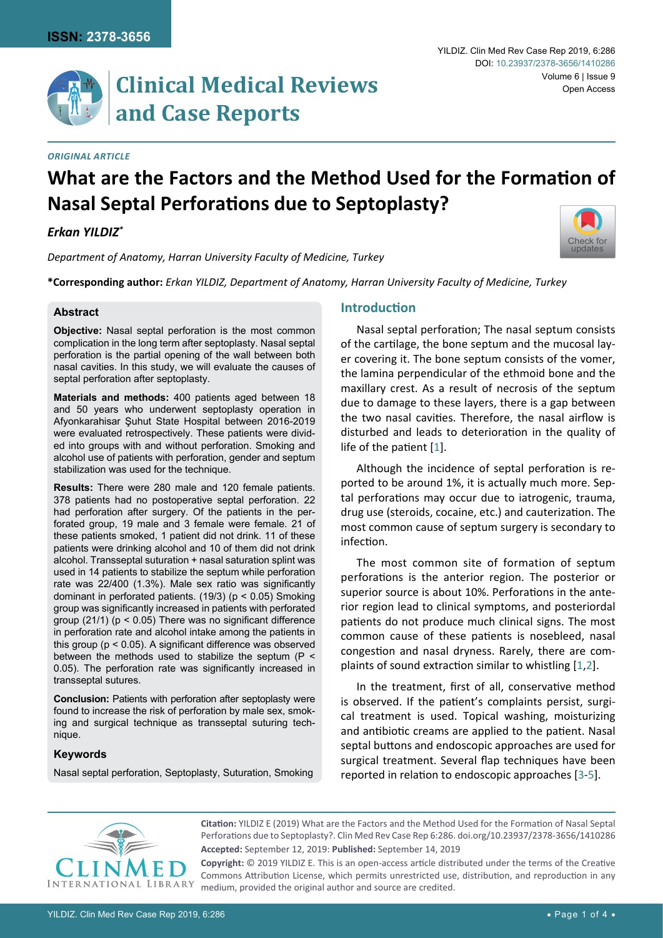[Check for](http://crossmark.crossref.org/dialog/?doi=10.23937/2378-3656/1410286&domain=pdf) updates

#### *Original Article*

# **What are the Factors and the Method Used for the Formation of Nasal Septal Perforations due to Septoplasty?**

# *Erkan YILDIZ\**

*Department of Anatomy, Harran University Faculty of Medicine, Turkey*

**\*Corresponding author:** *Erkan YILDIZ, Department of Anatomy, Harran University Faculty of Medicine, Turkey*

# **Abstract**

**Objective:** Nasal septal perforation is the most common complication in the long term after septoplasty. Nasal septal perforation is the partial opening of the wall between both nasal cavities. In this study, we will evaluate the causes of septal perforation after septoplasty.

**Materials and methods:** 400 patients aged between 18 and 50 years who underwent septoplasty operation in Afyonkarahisar Şuhut State Hospital between 2016-2019 were evaluated retrospectively. These patients were divided into groups with and without perforation. Smoking and alcohol use of patients with perforation, gender and septum stabilization was used for the technique.

**Results:** There were 280 male and 120 female patients. 378 patients had no postoperative septal perforation. 22 had perforation after surgery. Of the patients in the perforated group, 19 male and 3 female were female. 21 of these patients smoked, 1 patient did not drink. 11 of these patients were drinking alcohol and 10 of them did not drink alcohol. Transseptal suturation + nasal saturation splint was used in 14 patients to stabilize the septum while perforation rate was 22/400 (1.3%). Male sex ratio was significantly dominant in perforated patients. (19/3) (p < 0.05) Smoking group was significantly increased in patients with perforated group  $(21/1)$  ( $p < 0.05$ ) There was no significant difference in perforation rate and alcohol intake among the patients in this group (p < 0.05). A significant difference was observed between the methods used to stabilize the septum  $(P \leq$ 0.05). The perforation rate was significantly increased in transseptal sutures.

**Conclusion:** Patients with perforation after septoplasty were found to increase the risk of perforation by male sex, smoking and surgical technique as transseptal suturing technique.

### **Keywords**

Nasal septal perforation, Septoplasty, Suturation, Smoking

# **Introduction**

Nasal septal perforation; The nasal septum consists of the cartilage, the bone septum and the mucosal layer covering it. The bone septum consists of the vomer, the lamina perpendicular of the ethmoid bone and the maxillary crest. As a result of necrosis of the septum due to damage to these layers, there is a gap between the two nasal cavities. Therefore, the nasal airflow is disturbed and leads to deterioration in the quality of life of the patient [[1](#page-3-0)].

Although the incidence of septal perforation is reported to be around 1%, it is actually much more. Septal perforations may occur due to iatrogenic, trauma, drug use (steroids, cocaine, etc.) and cauterization. The most common cause of septum surgery is secondary to infection.

The most common site of formation of septum perforations is the anterior region. The posterior or superior source is about 10%. Perforations in the anterior region lead to clinical symptoms, and posteriordal patients do not produce much clinical signs. The most common cause of these patients is nosebleed, nasal congestion and nasal dryness. Rarely, there are complaints of sound extraction similar to whistling [[1](#page-3-0)[,2](#page-3-1)].

In the treatment, first of all, conservative method is observed. If the patient's complaints persist, surgical treatment is used. Topical washing, moisturizing and antibiotic creams are applied to the patient. Nasal septal buttons and endoscopic approaches are used for surgical treatment. Several flap techniques have been reported in relation to endoscopic approaches [\[3-](#page-3-2)[5\]](#page-3-3).



**Accepted:** September 12, 2019: **Published:** September 14, 2019 **Citation:** YILDIZ E (2019) What are the Factors and the Method Used for the Formation of Nasal Septal Perforations due to Septoplasty?. Clin Med Rev Case Rep 6:286. [doi.org/10.23937/2378-3656/1410286](https://doi.org/10.23937/2378-3656/1410286)

**Copyright:** © 2019 YILDIZ E. This is an open-access article distributed under the terms of the Creative Commons Attribution License, which permits unrestricted use, distribution, and reproduction in any medium, provided the original author and source are credited.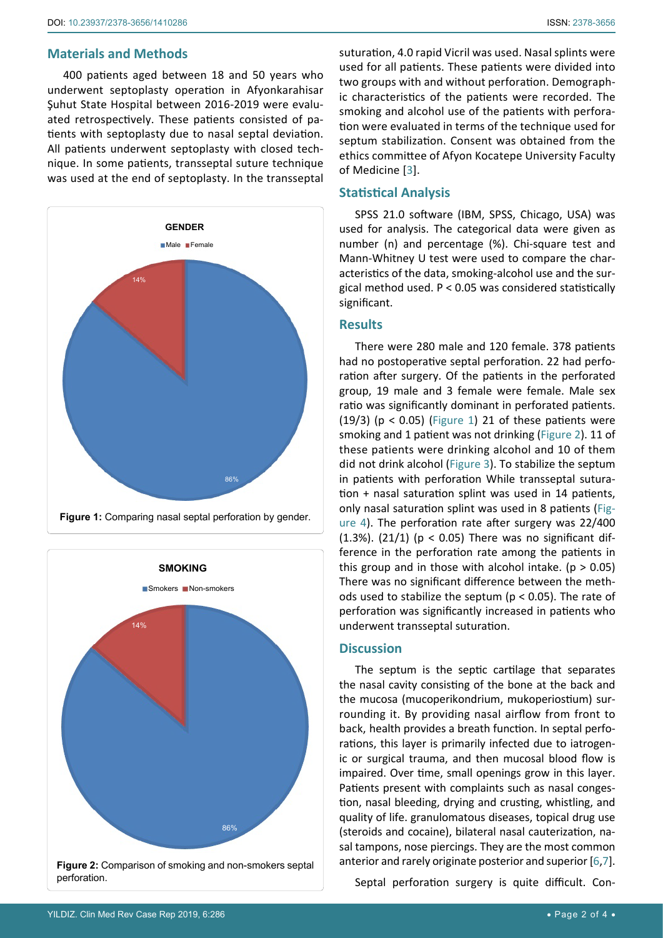#### **Materials and Methods**

400 patients aged between 18 and 50 years who underwent septoplasty operation in Afyonkarahisar Şuhut State Hospital between 2016-2019 were evaluated retrospectively. These patients consisted of patients with septoplasty due to nasal septal deviation. All patients underwent septoplasty with closed technique. In some patients, transseptal suture technique was used at the end of septoplasty. In the transseptal

<span id="page-1-0"></span>

<span id="page-1-1"></span>

suturation, 4.0 rapid Vicril was used. Nasal splints were used for all patients. These patients were divided into two groups with and without perforation. Demographic characteristics of the patients were recorded. The smoking and alcohol use of the patients with perforation were evaluated in terms of the technique used for septum stabilization. Consent was obtained from the ethics committee of Afyon Kocatepe University Faculty of Medicine [\[3\]](#page-3-2).

# **Statistical Analysis**

SPSS 21.0 software (IBM, SPSS, Chicago, USA) was used for analysis. The categorical data were given as number (n) and percentage (%). Chi-square test and Mann-Whitney U test were used to compare the characteristics of the data, smoking-alcohol use and the surgical method used. P < 0.05 was considered statistically significant.

## **Results**

There were 280 male and 120 female. 378 patients had no postoperative septal perforation. 22 had perforation after surgery. Of the patients in the perforated group, 19 male and 3 female were female. Male sex ratio was significantly dominant in perforated patients. (19/3) ( $p < 0.05$ ) ([Figure 1\)](#page-1-0) 21 of these patients were smoking and 1 patient was not drinking ([Figure 2\)](#page-1-1). 11 of these patients were drinking alcohol and 10 of them did not drink alcohol ([Figure 3\)](#page-2-0). To stabilize the septum in patients with perforation While transseptal suturation + nasal saturation splint was used in 14 patients, only nasal saturation splint was used in 8 patients ([Fig](#page-2-1)[ure 4](#page-2-1)). The perforation rate after surgery was 22/400 (1.3%). (21/1) ( $p < 0.05$ ) There was no significant difference in the perforation rate among the patients in this group and in those with alcohol intake. ( $p > 0.05$ ) There was no significant difference between the methods used to stabilize the septum ( $p < 0.05$ ). The rate of perforation was significantly increased in patients who underwent transseptal suturation.

### **Discussion**

The septum is the septic cartilage that separates the nasal cavity consisting of the bone at the back and the mucosa (mucoperikondrium, mukoperiostium) surrounding it. By providing nasal airflow from front to back, health provides a breath function. In septal perforations, this layer is primarily infected due to iatrogenic or surgical trauma, and then mucosal blood flow is impaired. Over time, small openings grow in this layer. Patients present with complaints such as nasal congestion, nasal bleeding, drying and crusting, whistling, and quality of life. granulomatous diseases, topical drug use (steroids and cocaine), bilateral nasal cauterization, nasal tampons, nose piercings. They are the most common anterior and rarely originate posterior and superior [[6](#page-3-4),[7\]](#page-3-5).

Septal perforation surgery is quite difficult. Con-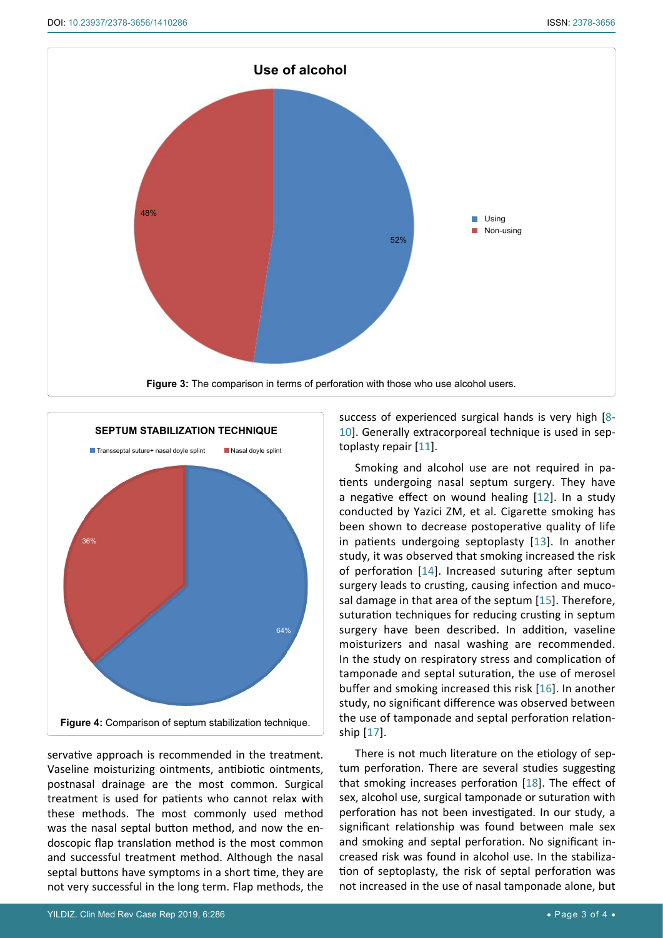<span id="page-2-0"></span>

<span id="page-2-1"></span>

servative approach is recommended in the treatment. Vaseline moisturizing ointments, antibiotic ointments, postnasal drainage are the most common. Surgical treatment is used for patients who cannot relax with these methods. The most commonly used method was the nasal septal button method, and now the endoscopic flap translation method is the most common and successful treatment method. Although the nasal septal buttons have symptoms in a short time, they are not very successful in the long term. Flap methods, the

success of experienced surgical hands is very high [[8](#page-3-6)- [10](#page-3-7)]. Generally extracorporeal technique is used in septoplasty repair [[11](#page-3-8)].

Smoking and alcohol use are not required in patients undergoing nasal septum surgery. They have a negative effect on wound healing [[12](#page-3-9)]. In a study conducted by Yazici ZM, et al. Cigarette smoking has been shown to decrease postoperative quality of life in patients undergoing septoplasty [[13\]](#page-3-10). In another study, it was observed that smoking increased the risk of perforation [[14](#page-3-11)]. Increased suturing after septum surgery leads to crusting, causing infection and mucosal damage in that area of the septum [\[15\]](#page-3-12). Therefore, suturation techniques for reducing crusting in septum surgery have been described. In addition, vaseline moisturizers and nasal washing are recommended. In the study on respiratory stress and complication of tamponade and septal suturation, the use of merosel buffer and smoking increased this risk [[16\]](#page-3-13). In another study, no significant difference was observed between the use of tamponade and septal perforation relationship [[17\]](#page-3-14).

There is not much literature on the etiology of septum perforation. There are several studies suggesting that smoking increases perforation [\[18](#page-3-15)]. The effect of sex, alcohol use, surgical tamponade or suturation with perforation has not been investigated. In our study, a significant relationship was found between male sex and smoking and septal perforation. No significant increased risk was found in alcohol use. In the stabilization of septoplasty, the risk of septal perforation was not increased in the use of nasal tamponade alone, but